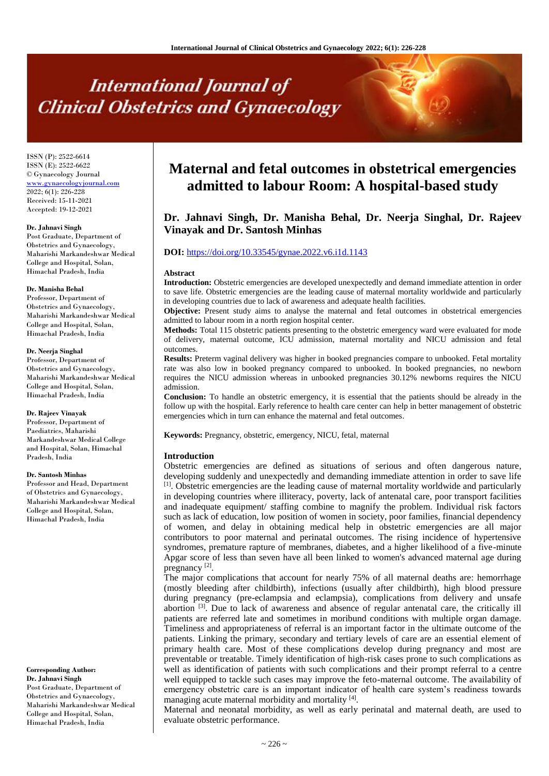# **International Journal of Clinical Obstetrics and Gynaecology**

ISSN (P): 2522-6614 ISSN (E): 2522-6622 © Gynaecology Journal <www.gynaecologyjournal.com> 2022; 6(1): 226-228 Received: 15-11-2021 Accepted: 19-12-2021

# **Dr. Jahnavi Singh**

Post Graduate, Department of Obstetrics and Gynaecology, Maharishi Markandeshwar Medical College and Hospital, Solan, Himachal Pradesh, India

#### **Dr. Manisha Behal**

Professor, Department of Obstetrics and Gynaecology, Maharishi Markandeshwar Medical College and Hospital, Solan, Himachal Pradesh, India

#### **Dr. Neerja Singhal**

Professor, Department of Obstetrics and Gynaecology, Maharishi Markandeshwar Medical College and Hospital, Solan, Himachal Pradesh, India

### **Dr. Rajeev Vinayak**

Professor, Department of Paediatrics, Maharishi Markandeshwar Medical College and Hospital, Solan, Himachal Pradesh, India

### **Dr. Santosh Minhas**

Professor and Head, Department of Obstetrics and Gynaecology, Maharishi Markandeshwar Medical College and Hospital, Solan, Himachal Pradesh, India

**Corresponding Author: Dr. Jahnavi Singh** Post Graduate, Department of Obstetrics and Gynaecology, Maharishi Markandeshwar Medical College and Hospital, Solan, Himachal Pradesh, India

# **Maternal and fetal outcomes in obstetrical emergencies admitted to labour Room: A hospital-based study**

# **Dr. Jahnavi Singh, Dr. Manisha Behal, Dr. Neerja Singhal, Dr. Rajeev Vinayak and Dr. Santosh Minhas**

# **DOI:** <https://doi.org/10.33545/gynae.2022.v6.i1d.1143>

### **Abstract**

**Introduction:** Obstetric emergencies are developed unexpectedly and demand immediate attention in order to save life. Obstetric emergencies are the leading cause of maternal mortality worldwide and particularly in developing countries due to lack of awareness and adequate health facilities.

**Objective:** Present study aims to analyse the maternal and fetal outcomes in obstetrical emergencies admitted to labour room in a north region hospital center.

**Methods:** Total 115 obstetric patients presenting to the obstetric emergency ward were evaluated for mode of delivery, maternal outcome, ICU admission, maternal mortality and NICU admission and fetal outcomes.

**Results:** Preterm vaginal delivery was higher in booked pregnancies compare to unbooked. Fetal mortality rate was also low in booked pregnancy compared to unbooked. In booked pregnancies, no newborn requires the NICU admission whereas in unbooked pregnancies 30.12% newborns requires the NICU admission.

**Conclusion:** To handle an obstetric emergency, it is essential that the patients should be already in the follow up with the hospital. Early reference to health care center can help in better management of obstetric emergencies which in turn can enhance the maternal and fetal outcomes.

**Keywords:** Pregnancy, obstetric, emergency, NICU, fetal, maternal

# **Introduction**

Obstetric emergencies are defined as situations of serious and often dangerous nature, developing suddenly and unexpectedly and demanding immediate attention in order to save life  $<sup>[1]</sup>$ . Obstetric emergencies are the leading cause of maternal mortality worldwide and particularly</sup> in developing countries where illiteracy, poverty, lack of antenatal care, poor transport facilities and inadequate equipment/ staffing combine to magnify the problem. Individual risk factors such as lack of education, low position of women in society, poor families, financial dependency of women, and delay in obtaining medical help in obstetric emergencies are all major contributors to poor maternal and perinatal outcomes. The rising incidence of hypertensive syndromes, premature rapture of membranes, diabetes, and a higher likelihood of a five-minute Apgar score of less than seven have all been linked to women's advanced maternal age during pregnancy<sup>[2]</sup>.

The major complications that account for nearly 75% of all maternal deaths are: hemorrhage (mostly bleeding after childbirth), infections (usually after childbirth), high blood pressure during pregnancy (pre-eclampsia and eclampsia), complications from delivery and unsafe abortion [3]. Due to lack of awareness and absence of regular antenatal care, the critically ill patients are referred late and sometimes in moribund conditions with multiple organ damage. Timeliness and appropriateness of referral is an important factor in the ultimate outcome of the patients. Linking the primary, secondary and tertiary levels of care are an essential element of primary health care. Most of these complications develop during pregnancy and most are preventable or treatable. Timely identification of high-risk cases prone to such complications as well as identification of patients with such complications and their prompt referral to a centre well equipped to tackle such cases may improve the feto-maternal outcome. The availability of emergency obstetric care is an important indicator of health care system's readiness towards managing acute maternal morbidity and mortality [4].

Maternal and neonatal morbidity, as well as early perinatal and maternal death, are used to evaluate obstetric performance.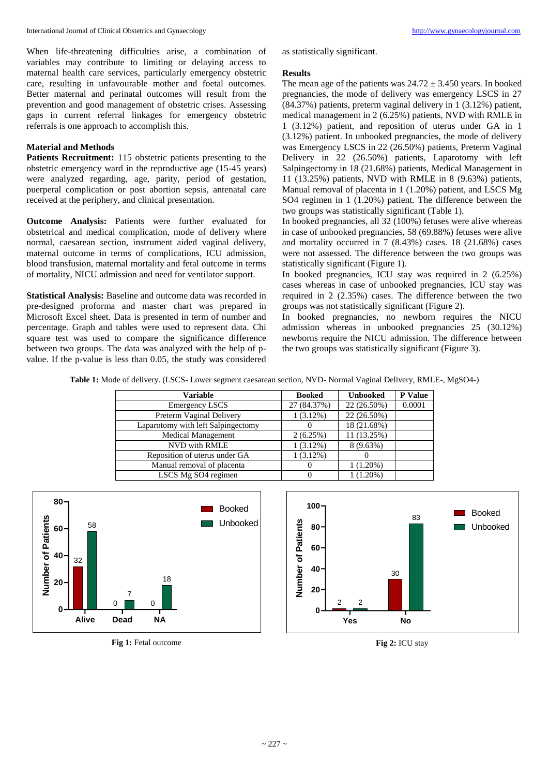When life-threatening difficulties arise, a combination of variables may contribute to limiting or delaying access to maternal health care services, particularly emergency obstetric care, resulting in unfavourable mother and foetal outcomes. Better maternal and perinatal outcomes will result from the prevention and good management of obstetric crises. Assessing gaps in current referral linkages for emergency obstetric referrals is one approach to accomplish this.

# **Material and Methods**

**Patients Recruitment:** 115 obstetric patients presenting to the obstetric emergency ward in the reproductive age (15-45 years) were analyzed regarding, age, parity, period of gestation, puerperal complication or post abortion sepsis, antenatal care received at the periphery, and clinical presentation.

**Outcome Analysis:** Patients were further evaluated for obstetrical and medical complication, mode of delivery where normal, caesarean section, instrument aided vaginal delivery, maternal outcome in terms of complications, ICU admission, blood transfusion, maternal mortality and fetal outcome in terms of mortality, NICU admission and need for ventilator support.

**Statistical Analysis:** Baseline and outcome data was recorded in pre-designed proforma and master chart was prepared in Microsoft Excel sheet. Data is presented in term of number and percentage. Graph and tables were used to represent data. Chi square test was used to compare the significance difference between two groups. The data was analyzed with the help of pvalue. If the p-value is less than 0.05, the study was considered

as statistically significant.

# **Results**

The mean age of the patients was  $24.72 \pm 3.450$  years. In booked pregnancies, the mode of delivery was emergency LSCS in 27 (84.37%) patients, preterm vaginal delivery in 1 (3.12%) patient, medical management in 2 (6.25%) patients, NVD with RMLE in 1 (3.12%) patient, and reposition of uterus under GA in 1 (3.12%) patient. In unbooked pregnancies, the mode of delivery was Emergency LSCS in 22 (26.50%) patients, Preterm Vaginal Delivery in 22 (26.50%) patients, Laparotomy with left Salpingectomy in 18 (21.68%) patients, Medical Management in 11 (13.25%) patients, NVD with RMLE in 8 (9.63%) patients, Manual removal of placenta in 1 (1.20%) patient, and LSCS Mg SO4 regimen in 1 (1.20%) patient. The difference between the two groups was statistically significant (Table 1).

In booked pregnancies, all 32 (100%) fetuses were alive whereas in case of unbooked pregnancies, 58 (69.88%) fetuses were alive and mortality occurred in 7 (8.43%) cases. 18 (21.68%) cases were not assessed. The difference between the two groups was statistically significant (Figure 1).

In booked pregnancies, ICU stay was required in 2 (6.25%) cases whereas in case of unbooked pregnancies, ICU stay was required in 2 (2.35%) cases. The difference between the two groups was not statistically significant (Figure 2).

In booked pregnancies, no newborn requires the NICU admission whereas in unbooked pregnancies 25 (30.12%) newborns require the NICU admission. The difference between the two groups was statistically significant (Figure 3).

**Table 1:** Mode of delivery. (LSCS- Lower segment caesarean section, NVD- Normal Vaginal Delivery, RMLE-, MgSO4-)

| Variable                           | <b>Booked</b> | <b>Unbooked</b> | P Value |
|------------------------------------|---------------|-----------------|---------|
| <b>Emergency LSCS</b>              | 27 (84.37%)   | 22 (26.50%)     | 0.0001  |
| Preterm Vaginal Delivery           | 1(3.12%)      | 22 (26.50%)     |         |
| Laparotomy with left Salpingectomy |               | 18 (21.68%)     |         |
| <b>Medical Management</b>          | 2(6.25%)      | 11 (13.25%)     |         |
| NVD with RMLE                      | $1(3.12\%)$   | 8(9.63%)        |         |
| Reposition of uterus under GA      | $1(3.12\%)$   |                 |         |
| Manual removal of placenta         |               | $1(1.20\%)$     |         |
| LSCS Mg SO4 regimen                |               | $1(1.20\%)$     |         |





**Fig 2:** ICU stay